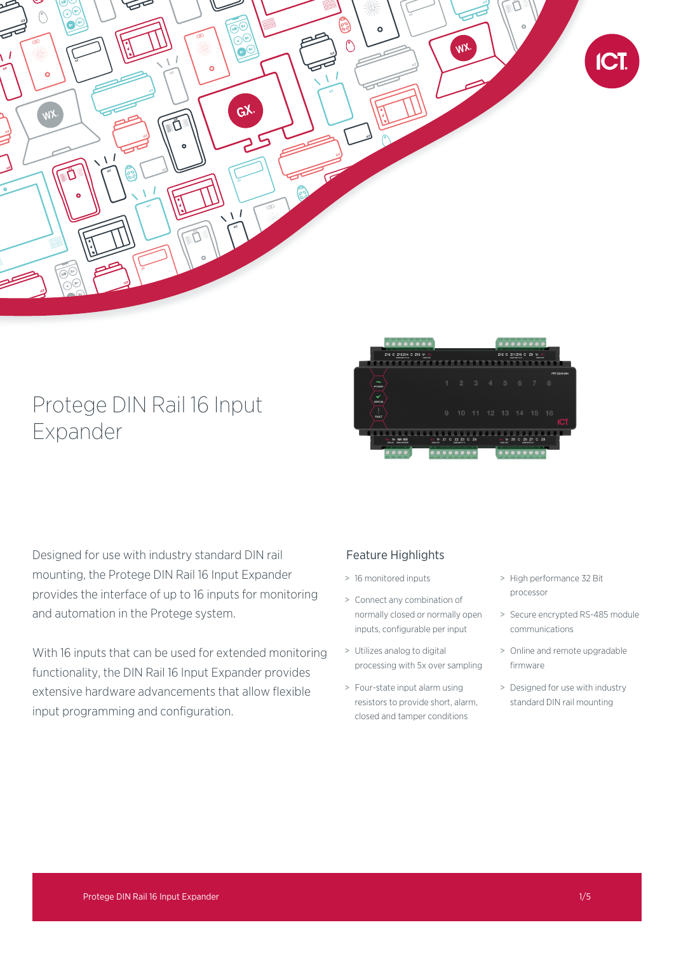

# Protege DIN Rail 16 Input Expander



Designed for use with industry standard DIN rail mounting, the Protege DIN Rail 16 Input Expander provides the interface of up to 16 inputs for monitoring and automation in the Protege system.

With 16 inputs that can be used for extended monitoring functionality, the DIN Rail 16 Input Expander provides extensive hardware advancements that allow flexible input programming and configuration.

# Feature Highlights

- > 16 monitored inputs
- > Connect any combination of normally closed or normally open inputs, configurable per input
- > Utilizes analog to digital processing with 5x over sampling
- > Four-state input alarm using resistors to provide short, alarm, closed and tamper conditions
- > High performance 32 Bit processor
- > Secure encrypted RS-485 module communications
- > Online and remote upgradable firmware
- > Designed for use with industry standard DIN rail mounting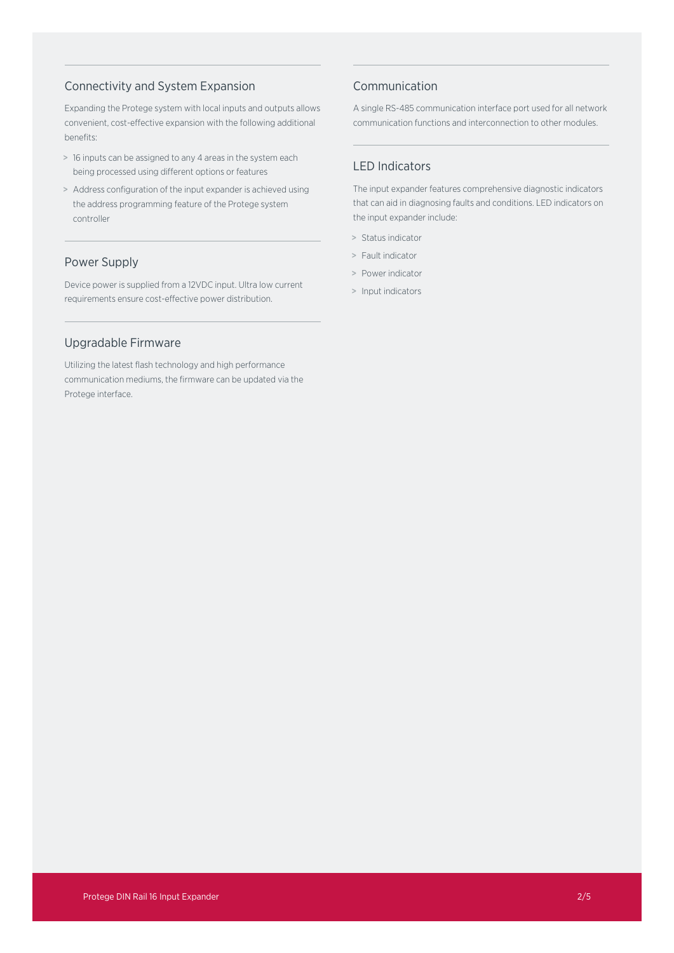# Connectivity and System Expansion

Expanding the Protege system with local inputs and outputs allows convenient, cost-effective expansion with the following additional benefits:

- > 16 inputs can be assigned to any 4 areas in the system each being processed using different options or features
- > Address configuration of the input expander is achieved using the address programming feature of the Protege system controller

# Power Supply

Device power is supplied from a 12VDC input. Ultra low current requirements ensure cost-effective power distribution.

# Upgradable Firmware

Utilizing the latest flash technology and high performance communication mediums, the firmware can be updated via the Protege interface.

# Communication

A single RS-485 communication interface port used for all network communication functions and interconnection to other modules.

# LED Indicators

The input expander features comprehensive diagnostic indicators that can aid in diagnosing faults and conditions. LED indicators on the input expander include:

- > Status indicator
- > Fault indicator
- > Power indicator
- > Input indicators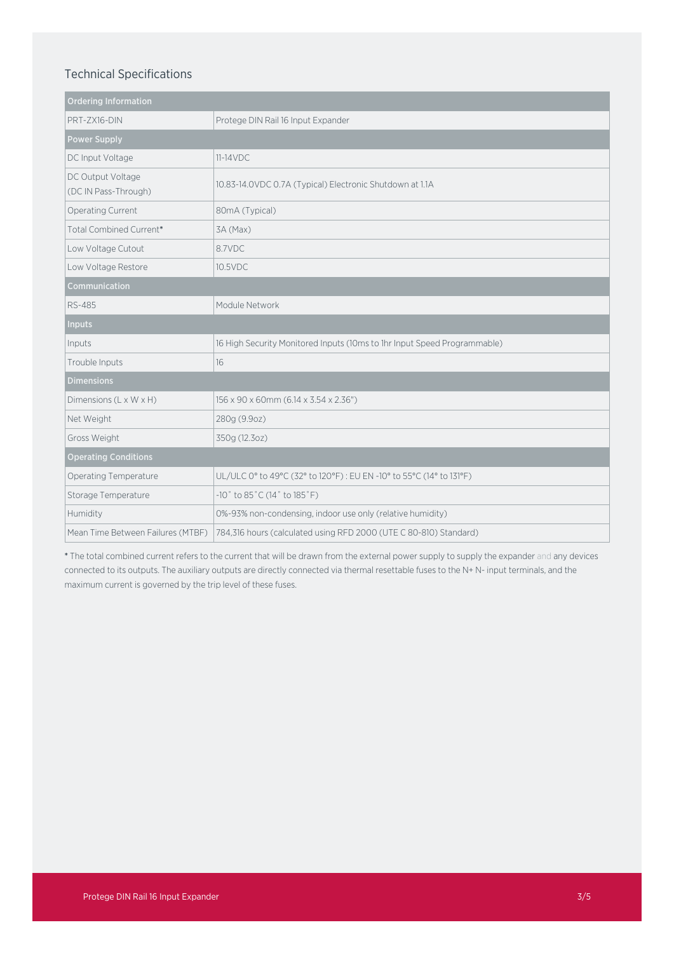# Technical Specifications

| <b>Ordering Information</b>               |                                                                          |
|-------------------------------------------|--------------------------------------------------------------------------|
| PRT-ZX16-DIN                              | Protege DIN Rail 16 Input Expander                                       |
| <b>Power Supply</b>                       |                                                                          |
| DC Input Voltage                          | $11-14VDC$                                                               |
| DC Output Voltage<br>(DC IN Pass-Through) | 10.83-14.0VDC 0.7A (Typical) Electronic Shutdown at 1.1A                 |
| Operating Current                         | 80mA (Typical)                                                           |
| Total Combined Current*                   | 3A (Max)                                                                 |
| Low Voltage Cutout                        | 8.7VDC                                                                   |
| Low Voltage Restore                       | 10.5VDC                                                                  |
| Communication                             |                                                                          |
| RS-485                                    | Module Network                                                           |
| <b>Inputs</b>                             |                                                                          |
| Inputs                                    | 16 High Security Monitored Inputs (10ms to 1hr Input Speed Programmable) |
| Trouble Inputs                            | 16                                                                       |
| <b>Dimensions</b>                         |                                                                          |
| Dimensions (L x W x H)                    | 156 x 90 x 60mm (6.14 x 3.54 x 2.36")                                    |
| Net Weight                                | 280g (9.9oz)                                                             |
| Gross Weight                              | 350g (12.3oz)                                                            |
| <b>Operating Conditions</b>               |                                                                          |
| <b>Operating Temperature</b>              | UL/ULC 0° to 49°C (32° to 120°F) : EU EN -10° to 55°C (14° to 131°F)     |
| Storage Temperature                       | -10° to 85°C (14° to 185°F)                                              |
| Humidity                                  | 0%-93% non-condensing, indoor use only (relative humidity)               |
| Mean Time Between Failures (MTBF)         | 784,316 hours (calculated using RFD 2000 (UTE C 80-810) Standard)        |

\* The total combined current refers to the current that will be drawn from the external power supply to supply the expander and any devices connected to its outputs. The auxiliary outputs are directly connected via thermal resettable fuses to the N+ N- input terminals, and the maximum current is governed by the trip level of these fuses.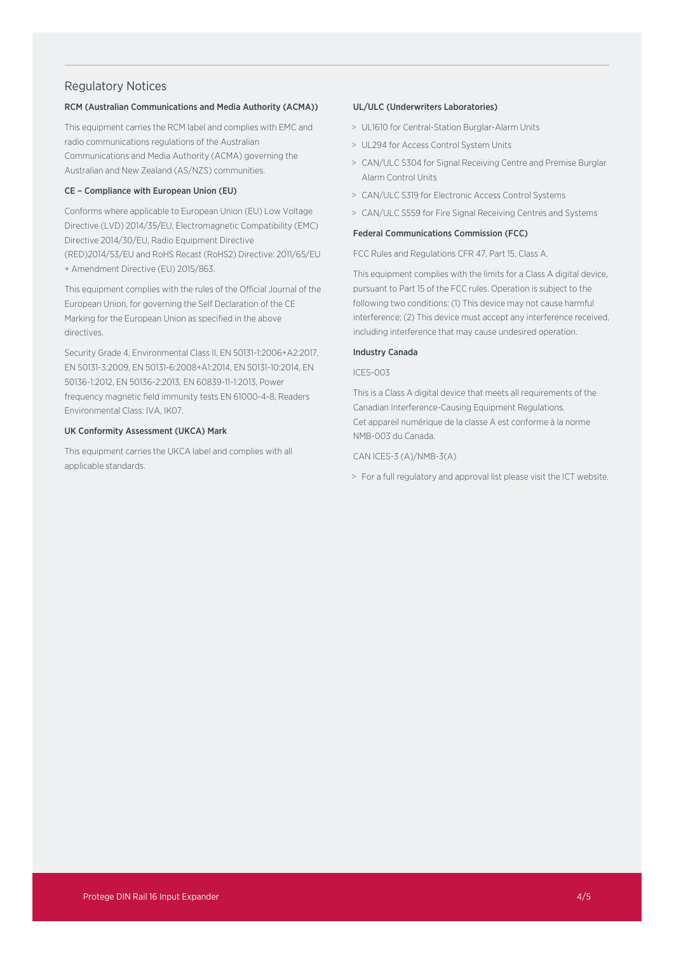## Regulatory Notices

## RCM (Australian Communications and Media Authority (ACMA))

This equipment carries the RCM label and complies with EMC and radio communications regulations of the Australian Communications and Media Authority (ACMA) governing the Australian and New Zealand (AS/NZS) communities.

## CE – Compliance with European Union (EU)

Conforms where applicable to European Union (EU) Low Voltage Directive (LVD) 2014/35/EU, Electromagnetic Compatibility (EMC) Directive 2014/30/EU, Radio Equipment Directive (RED)2014/53/EU and RoHS Recast (RoHS2) Directive: 2011/65/EU + Amendment Directive (EU) 2015/863.

This equipment complies with the rules of the Official Journal of the European Union, for governing the Self Declaration of the CE Marking for the European Union as specified in the above directives.

Security Grade 4, Environmental Class II, EN 50131-1:2006+A2:2017, EN 50131-3:2009, EN 50131-6:2008+A1:2014, EN 50131-10:2014, EN 50136-1:2012, EN 50136-2:2013, EN 60839-11-1:2013, Power frequency magnetic field immunity tests EN 61000-4-8, Readers Environmental Class: IVA, IK07.

## UK Conformity Assessment (UKCA) Mark

This equipment carries the UKCA label and complies with all applicable standards.

### UL/ULC (Underwriters Laboratories)

- > UL1610 for Central-Station Burglar-Alarm Units
- > UL294 for Access Control System Units
- > CAN/ULC S304 for Signal Receiving Centre and Premise Burglar Alarm Control Units
- > CAN/ULC S319 for Electronic Access Control Systems
- > CAN/ULC S559 for Fire Signal Receiving Centres and Systems

## Federal Communications Commission (FCC)

FCC Rules and Regulations CFR 47, Part 15, Class A.

This equipment complies with the limits for a Class A digital device, pursuant to Part 15 of the FCC rules. Operation is subject to the following two conditions: (1) This device may not cause harmful interference; (2) This device must accept any interference received, including interference that may cause undesired operation.

## Industry Canada

#### ICES-003

This is a Class A digital device that meets all requirements of the Canadian Interference-Causing Equipment Regulations. Cet appareil numérique de la classe A est conforme à la norme NMB-003 du Canada.

## CAN ICES-3 (A)/NMB-3(A)

> For a full regulatory and approval list please visit the ICT website.